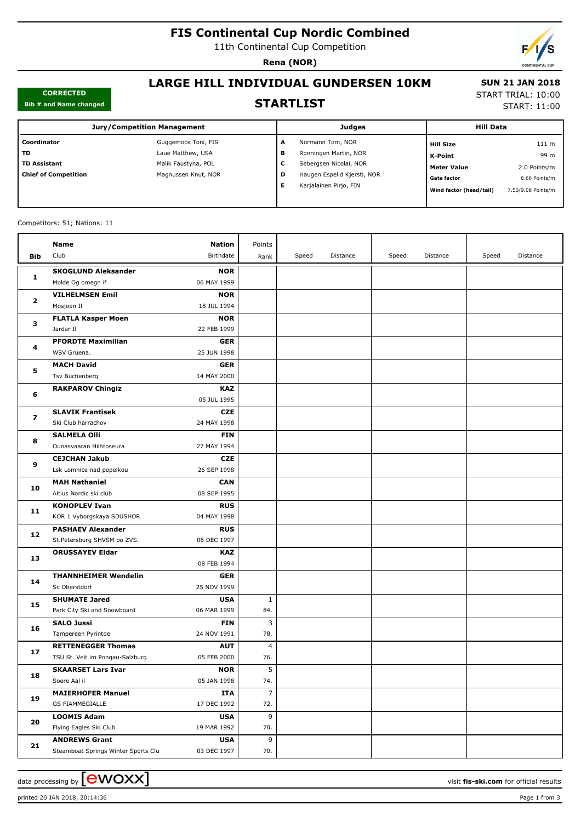# **FIS Continental Cup Nordic Combined**

11th Continental Cup Competition

**Rena (NOR)**



#### **CORRECTED Bib # and Name changed**

### **LARGE HILL INDIVIDUAL GUNDERSEN 10KM**

Ŧ

#### **STARTLIST**

 **SUN 21 JAN 2018** START TRIAL: 10:00

START: 11:00

| $515 \pi$ and items changed |                                    |  |  |  |  |
|-----------------------------|------------------------------------|--|--|--|--|
|                             | <b>Jury/Competition Management</b> |  |  |  |  |
| Coordinator                 | Guggemoos Toni, FIS                |  |  |  |  |

| <b>Jury/Competition Management</b> |                     |   | Judges                      |                         | <b>Hill Data</b>   |  |
|------------------------------------|---------------------|---|-----------------------------|-------------------------|--------------------|--|
| Coordinator                        | Guggemoos Toni, FIS | А | Normann Tom, NOR            | <b>Hill Size</b>        | 111 <sub>m</sub>   |  |
| TD                                 | Laue Matthew, USA   | в | Ronningen Martin, NOR       | K-Point                 | 99 m               |  |
| <b>TD Assistant</b>                | Malik Faustyna, POL | v | Sebergsen Nicolai, NOR      | <b>Meter Value</b>      | 2.0 Points/m       |  |
| <b>Chief of Competition</b>        | Magnussen Knut, NOR | D | Haugen Espelid Kjersti, NOR | <b>Gate factor</b>      | 6.66 Points/m      |  |
|                                    |                     | Е | Karjalainen Pirjo, FIN      | Wind factor (head/tail) | 7.50/9.08 Points/m |  |
|                                    |                     |   |                             |                         |                    |  |

#### Competitors: 51; Nations: 11

|                         | Name                                | Nation                    | Points |       |          |       |          |       |          |
|-------------------------|-------------------------------------|---------------------------|--------|-------|----------|-------|----------|-------|----------|
| Bib                     | Club                                | Birthdate                 | Rank   | Speed | Distance | Speed | Distance | Speed | Distance |
|                         |                                     |                           |        |       |          |       |          |       |          |
| 1                       | <b>SKOGLUND Aleksander</b>          | <b>NOR</b>                |        |       |          |       |          |       |          |
|                         | Molde Og omegn if                   | 06 MAY 1999               |        |       |          |       |          |       |          |
| 2                       | <b>VILHELMSEN Emil</b>              | <b>NOR</b>                |        |       |          |       |          |       |          |
|                         | Mosjoen Il                          | 18 JUL 1994               |        |       |          |       |          |       |          |
| з                       | <b>FLATLA Kasper Moen</b>           | <b>NOR</b><br>22 FEB 1999 |        |       |          |       |          |       |          |
|                         | Jardar II                           |                           |        |       |          |       |          |       |          |
| 4                       | <b>PFORDTE Maximilian</b>           | <b>GER</b>                |        |       |          |       |          |       |          |
|                         | WSV Gruena.                         | 25 JUN 1998               |        |       |          |       |          |       |          |
| 5                       | <b>MACH David</b>                   | <b>GER</b>                |        |       |          |       |          |       |          |
|                         | Tsv Buchenberg                      | 14 MAY 2000               |        |       |          |       |          |       |          |
| 6                       | <b>RAKPAROV Chingiz</b>             | <b>KAZ</b>                |        |       |          |       |          |       |          |
|                         |                                     | 05 JUL 1995               |        |       |          |       |          |       |          |
| $\overline{\mathbf{z}}$ | <b>SLAVIK Frantisek</b>             | <b>CZE</b>                |        |       |          |       |          |       |          |
|                         | Ski Club harrachov                  | 24 MAY 1998               |        |       |          |       |          |       |          |
| 8                       | <b>SALMELA Olli</b>                 | <b>FIN</b>                |        |       |          |       |          |       |          |
|                         | Ounasvaaran Hiihtoseura             | 27 MAY 1994               |        |       |          |       |          |       |          |
| 9<br>10                 | <b>CEJCHAN Jakub</b>                | <b>CZE</b>                |        |       |          |       |          |       |          |
|                         | Lsk Lomnice nad popelkou            | 26 SEP 1998               |        |       |          |       |          |       |          |
|                         | <b>MAH Nathaniel</b>                | <b>CAN</b>                |        |       |          |       |          |       |          |
|                         | Altius Nordic ski club              | 08 SEP 1995               |        |       |          |       |          |       |          |
| 11                      | <b>KONOPLEV Ivan</b>                | <b>RUS</b>                |        |       |          |       |          |       |          |
|                         | KOR 1 Vyborgskaya SDUSHOR           | 04 MAY 1998               |        |       |          |       |          |       |          |
| 12                      | <b>PASHAEV Alexander</b>            | <b>RUS</b>                |        |       |          |       |          |       |          |
|                         | St.Petersburg SHVSM po ZVS.         | 06 DEC 1997               |        |       |          |       |          |       |          |
| 13                      | <b>ORUSSAYEV Eldar</b>              | <b>KAZ</b>                |        |       |          |       |          |       |          |
|                         |                                     | 08 FEB 1994               |        |       |          |       |          |       |          |
| 14                      | <b>THANNHEIMER Wendelin</b>         | <b>GER</b>                |        |       |          |       |          |       |          |
|                         | Sc Oberstdorf                       | 25 NOV 1999               |        |       |          |       |          |       |          |
| 15                      | <b>SHUMATE Jared</b>                | <b>USA</b>                | 1      |       |          |       |          |       |          |
|                         | Park City Ski and Snowboard         | 06 MAR 1999               | 84.    |       |          |       |          |       |          |
| 16                      | <b>SALO Jussi</b>                   | <b>FIN</b>                | 3      |       |          |       |          |       |          |
|                         | Tampereen Pyrintoe                  | 24 NOV 1991               | 78.    |       |          |       |          |       |          |
| 17                      | <b>RETTENEGGER Thomas</b>           | <b>AUT</b>                | 4      |       |          |       |          |       |          |
|                         | TSU St. Veit im Pongau-Salzburg     | 05 FEB 2000               | 76.    |       |          |       |          |       |          |
| 18                      | <b>SKAARSET Lars Ivar</b>           | <b>NOR</b>                | 5      |       |          |       |          |       |          |
|                         | Soere Aal il                        | 05 JAN 1998               | 74.    |       |          |       |          |       |          |
| 19                      | <b>MAIERHOFER Manuel</b>            | <b>ITA</b>                | 7      |       |          |       |          |       |          |
|                         | GS FIAMMEGIALLE                     | 17 DEC 1992               | 72.    |       |          |       |          |       |          |
| 20                      | <b>LOOMIS Adam</b>                  | <b>USA</b>                | 9      |       |          |       |          |       |          |
|                         | Flying Eagles Ski Club              | 19 MAR 1992               | 70.    |       |          |       |          |       |          |
| 21                      | <b>ANDREWS Grant</b>                | <b>USA</b>                | 9      |       |          |       |          |       |          |
|                         | Steamboat Springs Winter Sports Clu | 03 DEC 1997               | 70.    |       |          |       |          |       |          |

printed 20 JAN 2018, 20:14:36 Page 1 from 3

data processing by  $\boxed{\text{ewOX}}$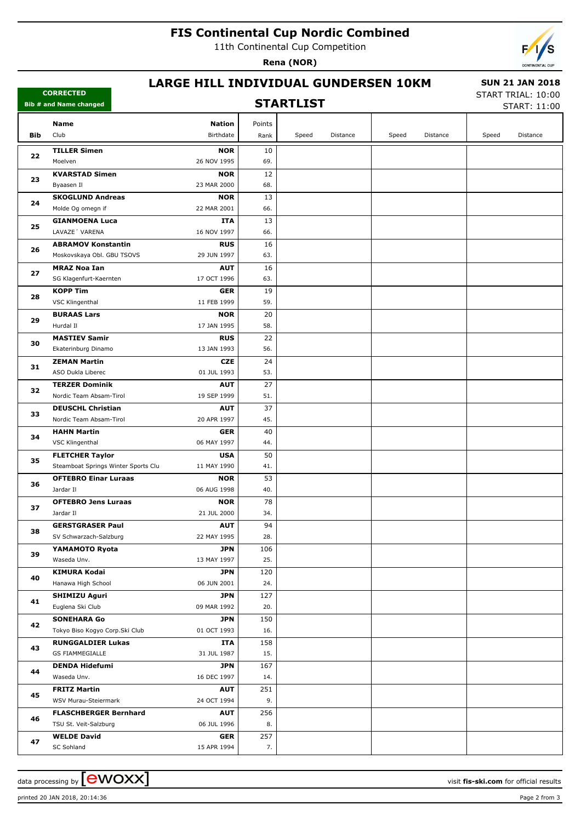## **FIS Continental Cup Nordic Combined**

11th Continental Cup Competition

**Rena (NOR)**



#### **LARGE HILL INDIVIDUAL GUNDERSEN 10KM**

#### **STARTLIST**

 **SUN 21 JAN 2018** START TRIAL: 10:00

START: 11:00

|     | Name<br><b>Nation</b>                                                              | Points     |       |          |       |          |       |          |
|-----|------------------------------------------------------------------------------------|------------|-------|----------|-------|----------|-------|----------|
| Bib | Club<br>Birthdate                                                                  | Rank       | Speed | Distance | Speed | Distance | Speed | Distance |
|     |                                                                                    |            |       |          |       |          |       |          |
| 22  | <b>TILLER Simen</b><br><b>NOR</b>                                                  | 10         |       |          |       |          |       |          |
|     | 26 NOV 1995<br>Moelven                                                             | 69.        |       |          |       |          |       |          |
| 23  | <b>KVARSTAD Simen</b><br><b>NOR</b>                                                | 12         |       |          |       |          |       |          |
|     | Byaasen Il<br>23 MAR 2000                                                          | 68.        |       |          |       |          |       |          |
| 24  | <b>SKOGLUND Andreas</b><br><b>NOR</b>                                              | 13         |       |          |       |          |       |          |
|     | Molde Og omegn if<br>22 MAR 2001                                                   | 66.        |       |          |       |          |       |          |
| 25  | <b>GIANMOENA Luca</b><br><b>ITA</b>                                                | 13         |       |          |       |          |       |          |
|     | LAVAZE' VARENA<br>16 NOV 1997                                                      | 66.        |       |          |       |          |       |          |
| 26  | <b>ABRAMOV Konstantin</b><br><b>RUS</b>                                            | 16         |       |          |       |          |       |          |
|     | Moskovskaya Obl. GBU TSOVS<br>29 JUN 1997                                          | 63.        |       |          |       |          |       |          |
| 27  | <b>MRAZ Noa Ian</b><br><b>AUT</b>                                                  | 16         |       |          |       |          |       |          |
|     | SG Klagenfurt-Kaernten<br>17 OCT 1996                                              | 63.        |       |          |       |          |       |          |
| 28  | <b>KOPP Tim</b><br><b>GER</b>                                                      | 19         |       |          |       |          |       |          |
|     | VSC Klingenthal<br>11 FEB 1999                                                     | 59.        |       |          |       |          |       |          |
| 29  | <b>BURAAS Lars</b><br><b>NOR</b>                                                   | 20         |       |          |       |          |       |          |
|     | Hurdal II<br>17 JAN 1995                                                           | 58.        |       |          |       |          |       |          |
| 30  | <b>MASTIEV Samir</b><br><b>RUS</b>                                                 | 22         |       |          |       |          |       |          |
|     | Ekaterinburg Dinamo<br>13 JAN 1993                                                 | 56.        |       |          |       |          |       |          |
| 31  | <b>ZEMAN Martin</b><br><b>CZE</b>                                                  | 24         |       |          |       |          |       |          |
|     | ASO Dukla Liberec<br>01 JUL 1993                                                   | 53.        |       |          |       |          |       |          |
| 32  | <b>TERZER Dominik</b><br><b>AUT</b>                                                | 27         |       |          |       |          |       |          |
|     | Nordic Team Absam-Tirol<br>19 SEP 1999                                             | 51.        |       |          |       |          |       |          |
| 33  | <b>DEUSCHL Christian</b><br><b>AUT</b>                                             | 37         |       |          |       |          |       |          |
|     | Nordic Team Absam-Tirol<br>20 APR 1997                                             | 45.        |       |          |       |          |       |          |
| 34  | <b>HAHN Martin</b><br><b>GER</b>                                                   | 40         |       |          |       |          |       |          |
|     | VSC Klingenthal<br>06 MAY 1997                                                     | 44.        |       |          |       |          |       |          |
| 35  | <b>USA</b><br><b>FLETCHER Taylor</b>                                               | 50         |       |          |       |          |       |          |
|     | Steamboat Springs Winter Sports Clu<br>11 MAY 1990                                 | 41.        |       |          |       |          |       |          |
| 36  | <b>NOR</b><br><b>OFTEBRO Einar Luraas</b>                                          | 53         |       |          |       |          |       |          |
|     | Jardar II<br>06 AUG 1998                                                           | 40.        |       |          |       |          |       |          |
| 37  | <b>OFTEBRO Jens Luraas</b><br><b>NOR</b>                                           | 78         |       |          |       |          |       |          |
|     | Jardar II<br>21 JUL 2000                                                           | 34.        |       |          |       |          |       |          |
| 38  | <b>GERSTGRASER Paul</b><br><b>AUT</b>                                              | 94         |       |          |       |          |       |          |
|     | 22 MAY 1995<br>SV Schwarzach-Salzburg                                              | 28.        |       |          |       |          |       |          |
| 39  | <b>JPN</b><br>YAMAMOTO Ryota                                                       | 106        |       |          |       |          |       |          |
|     | Waseda Unv.<br>13 MAY 1997                                                         | 25.        |       |          |       |          |       |          |
| 40  | <b>KIMURA Kodai</b><br><b>JPN</b><br>Hanawa High School<br>06 JUN 2001             | 120<br>24. |       |          |       |          |       |          |
|     | <b>JPN</b>                                                                         | 127        |       |          |       |          |       |          |
| 41  | <b>SHIMIZU Aguri</b><br>Euglena Ski Club<br>09 MAR 1992                            | 20.        |       |          |       |          |       |          |
|     | <b>SONEHARA Go</b><br>JPN                                                          | 150        |       |          |       |          |       |          |
| 42  | Tokyo Biso Kogyo Corp.Ski Club<br>01 OCT 1993                                      | 16.        |       |          |       |          |       |          |
|     |                                                                                    |            |       |          |       |          |       |          |
| 43  | <b>RUNGGALDIER Lukas</b><br>ITA<br><b>GS FIAMMEGIALLE</b><br>31 JUL 1987           | 158<br>15. |       |          |       |          |       |          |
|     |                                                                                    |            |       |          |       |          |       |          |
| 44  | <b>DENDA Hidefumi</b><br>JPN<br>Waseda Unv.<br>16 DEC 1997                         | 167<br>14. |       |          |       |          |       |          |
|     |                                                                                    |            |       |          |       |          |       |          |
| 45  | <b>FRITZ Martin</b><br><b>AUT</b><br>WSV Murau-Steiermark<br>24 OCT 1994           | 251<br>9.  |       |          |       |          |       |          |
|     |                                                                                    |            |       |          |       |          |       |          |
| 46  | <b>FLASCHBERGER Bernhard</b><br><b>AUT</b><br>TSU St. Veit-Salzburg<br>06 JUL 1996 | 256<br>8.  |       |          |       |          |       |          |
|     |                                                                                    |            |       |          |       |          |       |          |
| 47  | <b>WELDE David</b><br><b>GER</b><br>SC Sohland<br>15 APR 1994                      | 257<br>7.  |       |          |       |          |       |          |
|     |                                                                                    |            |       |          |       |          |       |          |

data processing by **CWOXX** and  $\overline{A}$  and  $\overline{B}$  wisit **fis-ski.com** for official results

**CORRECTED Bib # and Name changed**